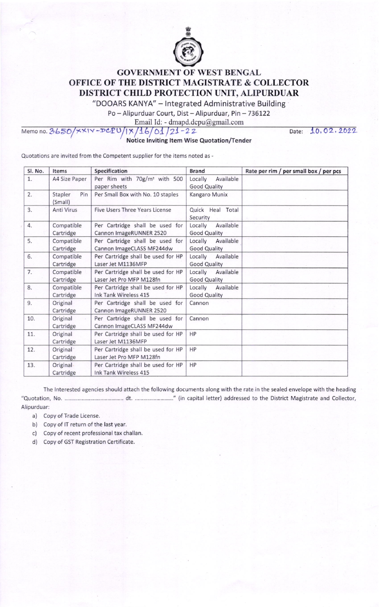

## **GOVERNMENT OF WEST BENGAL OFFICE OF THE DISTRICT MAGISTRATE & COLLECTOR** DISTRICT CHILD PROTECTION UNIT, ALIPURDUAR

"DOOARS KANYA" - Integrated Administrative Building

Po - Alipurduar Court, Dist - Alipurduar, Pin - 736122

Email Id: - dmapd.dcpu@gmail.com

DCPU  $1 \times 16/01/21 - 22$ Memo no. 3650/  $\times\times1$ Notice Inviting Item Wise Quotation/Tender Date: 10,02,2022

Quotations are invited from the Competent supplier for the items noted as -

| Sl. No. | Items                              | Specification                                                  | <b>Brand</b>                                | Rate per rim / per small box / per pcs |
|---------|------------------------------------|----------------------------------------------------------------|---------------------------------------------|----------------------------------------|
| 1.      | A4 Size Paper                      | Per Rim with 70g/m <sup>2</sup> with 500<br>paper sheets       | Locally<br>Available<br><b>Good Quality</b> |                                        |
| 2.      | Pin<br>Stapler<br>(Small)          | Per Small Box with No. 10 staples                              | Kangaro Munix                               |                                        |
| 3.      | Anti Virus                         | Five Users Three Years License                                 | Quick Heal Total<br>Security                |                                        |
| 4.      | Compatible<br>Cartridge            | Per Cartridge shall be used for<br>Cannon ImageRUNNER 2520     | Available<br>Locally<br><b>Good Quality</b> |                                        |
| 5.      | Compatible<br>Cartridge            | Per Cartridge shall be used for<br>Cannon ImageCLASS MF244dw   | Available<br>Locally<br><b>Good Quality</b> |                                        |
| 6.      | Compatible<br>Cartridge            | Per Cartridge shall be used for HP<br>Laser Jet M1136MFP       | Locally<br>Available<br><b>Good Quality</b> |                                        |
| 7.      | Compatible<br>Cartridge            | Per Cartridge shall be used for HP<br>Laser Jet Pro MFP M128fn | Locally<br>Available<br><b>Good Quality</b> |                                        |
| 8.      | Compatible<br>Cartridge            | Per Cartridge shall be used for HP<br>Ink Tank Wireless 415    | Locally<br>Available<br><b>Good Quality</b> |                                        |
| 9.      | Original<br>Cartridge              | Per Cartridge shall be used for<br>Cannon ImageRUNNER 2520     | Cannon                                      |                                        |
| 10.     | Original<br>Cartridge              | Per Cartridge shall be used for<br>Cannon ImageCLASS MF244dw   | Cannon                                      |                                        |
| 11.     | Original<br>Cartridge              | Per Cartridge shall be used for HP<br>Laser Jet M1136MFP       | HP                                          |                                        |
| 12.     | Original <sup>®</sup><br>Cartridge | Per Cartridge shall be used for HP<br>Laser Jet Pro MFP M128fn | HP                                          |                                        |
| 13.     | Original<br>Cartridge              | Per Cartridge shall be used for HP<br>Ink Tank Wireless 415    | <b>HP</b>                                   |                                        |

The Interested agencies should attach the following documents along with the rate in the sealed envelope with the heading Alipurduar:

a) Copy of Trade License.

b) Copy of IT return of the last year.

c) Copy of recent professional tax challan.

d) Copy of GST Registration Certificate.